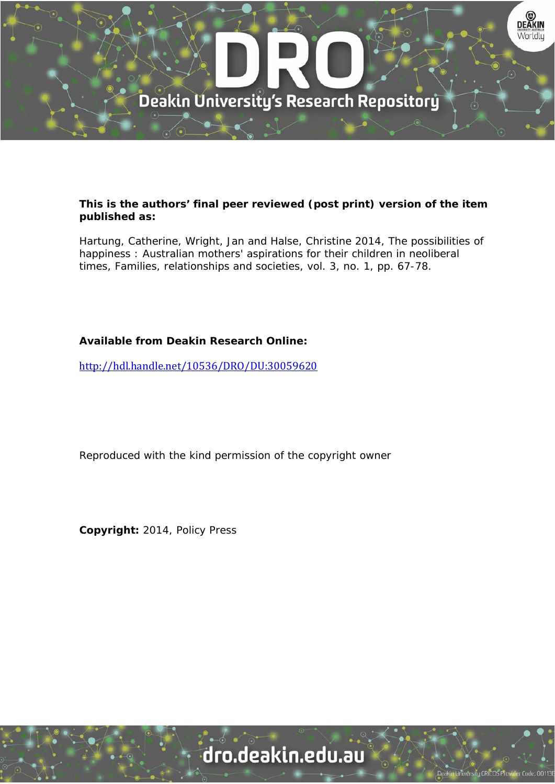

## **This is the authors' final peer reviewed (post print) version of the item published as:**

Hartung, Catherine, Wright, Jan and Halse, Christine 2014, The possibilities of happiness : Australian mothers' aspirations for their children in neoliberal times, Families, relationships and societies, vol. 3, no. 1, pp. 67-78.

## **Available from Deakin Research Online:**

http://hdl.handle.net/10536/DRO/DU:30059620

Reproduced with the kind permission of the copyright owner

**Copyright:** 2014, Policy Press

# dro.deakin.edu.au

**Iniversity CRICOS Pro**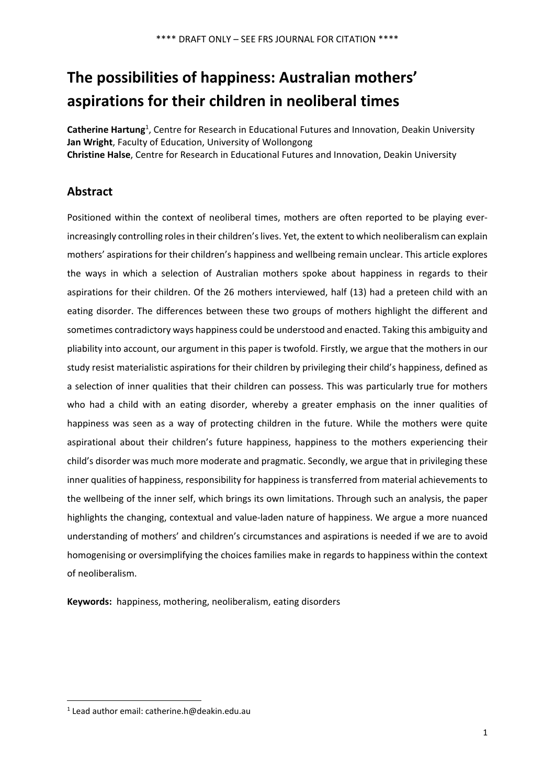## **The possibilities of happiness: Australian mothers' aspirations for their children in neoliberal times**

Catherine Hartung<sup>1</sup>, Centre for Research in Educational Futures and Innovation, Deakin University **Jan Wright**, Faculty of Education, University of Wollongong **Christine Halse**, Centre for Research in Educational Futures and Innovation, Deakin University

## **Abstract**

Positioned within the context of neoliberal times, mothers are often reported to be playing ever‐ increasingly controlling roles in their children's lives. Yet, the extent to which neoliberalism can explain mothers' aspirations for their children's happiness and wellbeing remain unclear. This article explores the ways in which a selection of Australian mothers spoke about happiness in regards to their aspirations for their children. Of the 26 mothers interviewed, half (13) had a preteen child with an eating disorder. The differences between these two groups of mothers highlight the different and sometimes contradictory ways happiness could be understood and enacted. Taking this ambiguity and pliability into account, our argument in this paper is twofold. Firstly, we argue that the mothers in our study resist materialistic aspirations for their children by privileging their child's happiness, defined as a selection of inner qualities that their children can possess. This was particularly true for mothers who had a child with an eating disorder, whereby a greater emphasis on the inner qualities of happiness was seen as a way of protecting children in the future. While the mothers were quite aspirational about their children's future happiness, happiness to the mothers experiencing their child's disorder was much more moderate and pragmatic. Secondly, we argue that in privileging these inner qualities of happiness, responsibility for happiness is transferred from material achievements to the wellbeing of the inner self, which brings its own limitations. Through such an analysis, the paper highlights the changing, contextual and value‐laden nature of happiness. We argue a more nuanced understanding of mothers' and children's circumstances and aspirations is needed if we are to avoid homogenising or oversimplifying the choices families make in regards to happiness within the context of neoliberalism.

Keywords: happiness, mothering, neoliberalism, eating disorders

<sup>1</sup> Lead author email: catherine.h@deakin.edu.au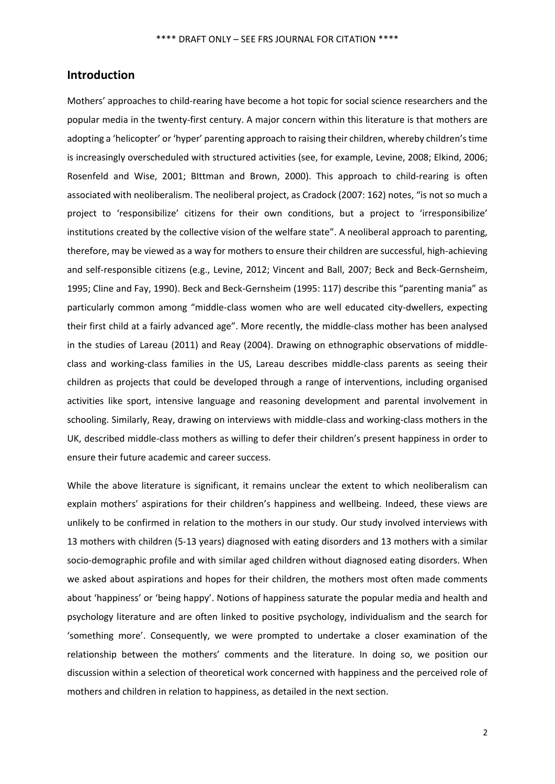## **Introduction**

Mothers' approaches to child‐rearing have become a hot topic for social science researchers and the popular media in the twenty‐first century. A major concern within this literature is that mothers are adopting a 'helicopter' or 'hyper' parenting approach to raising their children, whereby children'stime is increasingly overscheduled with structured activities (see, for example, Levine, 2008; Elkind, 2006; Rosenfeld and Wise, 2001; BIttman and Brown, 2000). This approach to child-rearing is often associated with neoliberalism. The neoliberal project, as Cradock (2007: 162) notes, "is not so much a project to 'responsibilize' citizens for their own conditions, but a project to 'irresponsibilize' institutions created by the collective vision of the welfare state". A neoliberal approach to parenting, therefore, may be viewed as a way for mothers to ensure their children are successful, high‐achieving and self-responsible citizens (e.g., Levine, 2012; Vincent and Ball, 2007; Beck and Beck-Gernsheim, 1995; Cline and Fay, 1990). Beck and Beck‐Gernsheim (1995: 117) describe this "parenting mania" as particularly common among "middle-class women who are well educated city-dwellers, expecting their first child at a fairly advanced age". More recently, the middle‐class mother has been analysed in the studies of Lareau (2011) and Reay (2004). Drawing on ethnographic observations of middle‐ class and working-class families in the US, Lareau describes middle-class parents as seeing their children as projects that could be developed through a range of interventions, including organised activities like sport, intensive language and reasoning development and parental involvement in schooling. Similarly, Reay, drawing on interviews with middle‐class and working‐class mothers in the UK, described middle‐class mothers as willing to defer their children's present happiness in order to ensure their future academic and career success.

While the above literature is significant, it remains unclear the extent to which neoliberalism can explain mothers' aspirations for their children's happiness and wellbeing. Indeed, these views are unlikely to be confirmed in relation to the mothers in our study. Our study involved interviews with 13 mothers with children (5‐13 years) diagnosed with eating disorders and 13 mothers with a similar socio-demographic profile and with similar aged children without diagnosed eating disorders. When we asked about aspirations and hopes for their children, the mothers most often made comments about 'happiness' or 'being happy'. Notions of happiness saturate the popular media and health and psychology literature and are often linked to positive psychology, individualism and the search for 'something more'. Consequently, we were prompted to undertake a closer examination of the relationship between the mothers' comments and the literature. In doing so, we position our discussion within a selection of theoretical work concerned with happiness and the perceived role of mothers and children in relation to happiness, as detailed in the next section.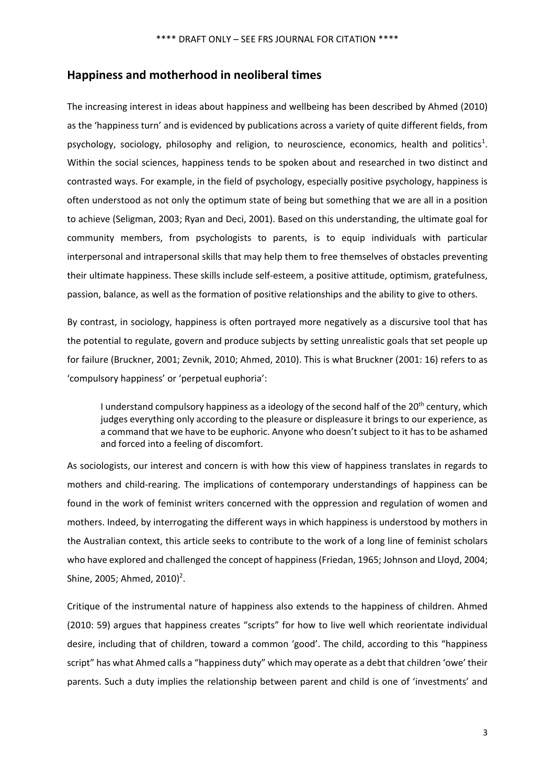## **Happiness and motherhood in neoliberal times**

The increasing interest in ideas about happiness and wellbeing has been described by Ahmed (2010) as the 'happiness turn' and is evidenced by publications across a variety of quite different fields, from psychology, sociology, philosophy and religion, to neuroscience, economics, health and politics<sup>1</sup>. Within the social sciences, happiness tends to be spoken about and researched in two distinct and contrasted ways. For example, in the field of psychology, especially positive psychology, happiness is often understood as not only the optimum state of being but something that we are all in a position to achieve (Seligman, 2003; Ryan and Deci, 2001). Based on this understanding, the ultimate goal for community members, from psychologists to parents, is to equip individuals with particular interpersonal and intrapersonal skills that may help them to free themselves of obstacles preventing their ultimate happiness. These skills include self‐esteem, a positive attitude, optimism, gratefulness, passion, balance, as well as the formation of positive relationships and the ability to give to others.

By contrast, in sociology, happiness is often portrayed more negatively as a discursive tool that has the potential to regulate, govern and produce subjects by setting unrealistic goals that set people up for failure (Bruckner, 2001; Zevnik, 2010; Ahmed, 2010). This is what Bruckner (2001: 16) refers to as 'compulsory happiness' or 'perpetual euphoria':

I understand compulsory happiness as a ideology of the second half of the 20<sup>th</sup> century, which judges everything only according to the pleasure or displeasure it brings to our experience, as a command that we have to be euphoric. Anyone who doesn't subject to it has to be ashamed and forced into a feeling of discomfort.

As sociologists, our interest and concern is with how this view of happiness translates in regards to mothers and child‐rearing. The implications of contemporary understandings of happiness can be found in the work of feminist writers concerned with the oppression and regulation of women and mothers. Indeed, by interrogating the different ways in which happiness is understood by mothers in the Australian context, this article seeks to contribute to the work of a long line of feminist scholars who have explored and challenged the concept of happiness (Friedan, 1965; Johnson and Lloyd, 2004; Shine, 2005; Ahmed, 2010)<sup>2</sup>.

Critique of the instrumental nature of happiness also extends to the happiness of children. Ahmed (2010: 59) argues that happiness creates "scripts" for how to live well which reorientate individual desire, including that of children, toward a common 'good'. The child, according to this "happiness script" has what Ahmed calls a "happiness duty" which may operate as a debt that children 'owe' their parents. Such a duty implies the relationship between parent and child is one of 'investments' and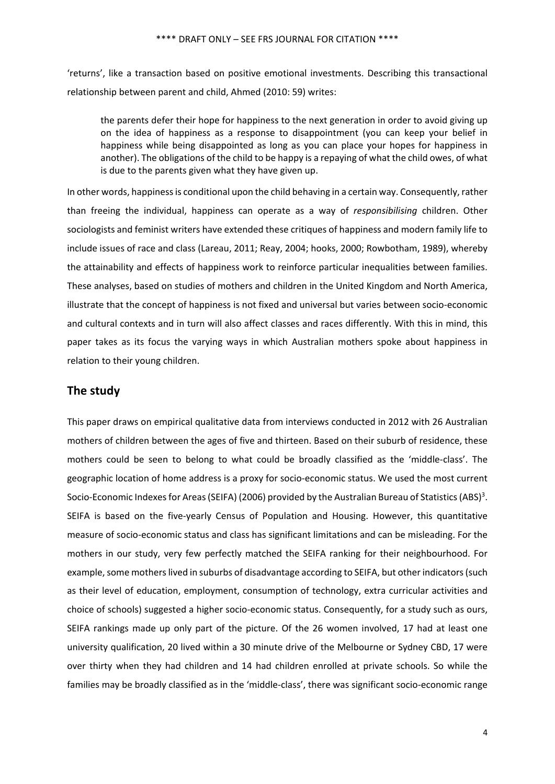'returns', like a transaction based on positive emotional investments. Describing this transactional relationship between parent and child, Ahmed (2010: 59) writes:

the parents defer their hope for happiness to the next generation in order to avoid giving up on the idea of happiness as a response to disappointment (you can keep your belief in happiness while being disappointed as long as you can place your hopes for happiness in another). The obligations of the child to be happy is a repaying of what the child owes, of what is due to the parents given what they have given up.

In other words, happiness is conditional upon the child behaving in a certain way. Consequently, rather than freeing the individual, happiness can operate as a way of *responsibilising* children. Other sociologists and feminist writers have extended these critiques of happiness and modern family life to include issues of race and class (Lareau, 2011; Reay, 2004; hooks, 2000; Rowbotham, 1989), whereby the attainability and effects of happiness work to reinforce particular inequalities between families. These analyses, based on studies of mothers and children in the United Kingdom and North America, illustrate that the concept of happiness is not fixed and universal but varies between socio‐economic and cultural contexts and in turn will also affect classes and races differently. With this in mind, this paper takes as its focus the varying ways in which Australian mothers spoke about happiness in relation to their young children.

## **The study**

This paper draws on empirical qualitative data from interviews conducted in 2012 with 26 Australian mothers of children between the ages of five and thirteen. Based on their suburb of residence, these mothers could be seen to belong to what could be broadly classified as the 'middle‐class'. The geographic location of home address is a proxy for socio‐economic status. We used the most current Socio-Economic Indexes for Areas (SEIFA) (2006) provided by the Australian Bureau of Statistics (ABS)<sup>3</sup>. SEIFA is based on the five-yearly Census of Population and Housing. However, this quantitative measure of socio‐economic status and class has significant limitations and can be misleading. For the mothers in our study, very few perfectly matched the SEIFA ranking for their neighbourhood. For example, some mothers lived in suburbs of disadvantage according to SEIFA, but other indicators (such as their level of education, employment, consumption of technology, extra curricular activities and choice of schools) suggested a higher socio‐economic status. Consequently, for a study such as ours, SEIFA rankings made up only part of the picture. Of the 26 women involved, 17 had at least one university qualification, 20 lived within a 30 minute drive of the Melbourne or Sydney CBD, 17 were over thirty when they had children and 14 had children enrolled at private schools. So while the families may be broadly classified as in the 'middle‐class', there was significant socio‐economic range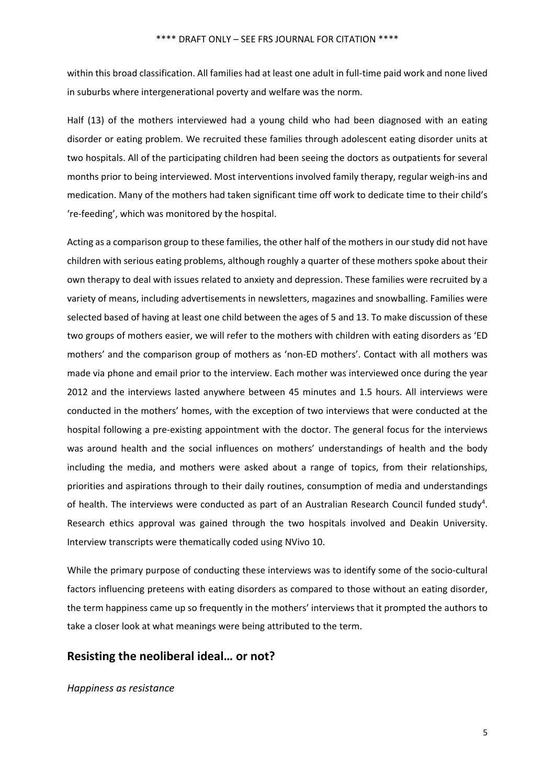within this broad classification. All families had at least one adult in full‐time paid work and none lived in suburbs where intergenerational poverty and welfare was the norm.

Half (13) of the mothers interviewed had a young child who had been diagnosed with an eating disorder or eating problem. We recruited these families through adolescent eating disorder units at two hospitals. All of the participating children had been seeing the doctors as outpatients for several months prior to being interviewed. Most interventions involved family therapy, regular weigh-ins and medication. Many of the mothers had taken significant time off work to dedicate time to their child's 're‐feeding', which was monitored by the hospital.

Acting as a comparison group to these families, the other half of the mothers in our study did not have children with serious eating problems, although roughly a quarter of these mothers spoke about their own therapy to deal with issues related to anxiety and depression. These families were recruited by a variety of means, including advertisements in newsletters, magazines and snowballing. Families were selected based of having at least one child between the ages of 5 and 13. To make discussion of these two groups of mothers easier, we will refer to the mothers with children with eating disorders as 'ED mothers' and the comparison group of mothers as 'non‐ED mothers'. Contact with all mothers was made via phone and email prior to the interview. Each mother was interviewed once during the year 2012 and the interviews lasted anywhere between 45 minutes and 1.5 hours. All interviews were conducted in the mothers' homes, with the exception of two interviews that were conducted at the hospital following a pre-existing appointment with the doctor. The general focus for the interviews was around health and the social influences on mothers' understandings of health and the body including the media, and mothers were asked about a range of topics, from their relationships, priorities and aspirations through to their daily routines, consumption of media and understandings of health. The interviews were conducted as part of an Australian Research Council funded study<sup>4</sup>. Research ethics approval was gained through the two hospitals involved and Deakin University. Interview transcripts were thematically coded using NVivo 10.

While the primary purpose of conducting these interviews was to identify some of the socio-cultural factors influencing preteens with eating disorders as compared to those without an eating disorder, the term happiness came up so frequently in the mothers' interviews that it prompted the authors to take a closer look at what meanings were being attributed to the term.

## **Resisting the neoliberal ideal… or not?**

#### *Happiness as resistance*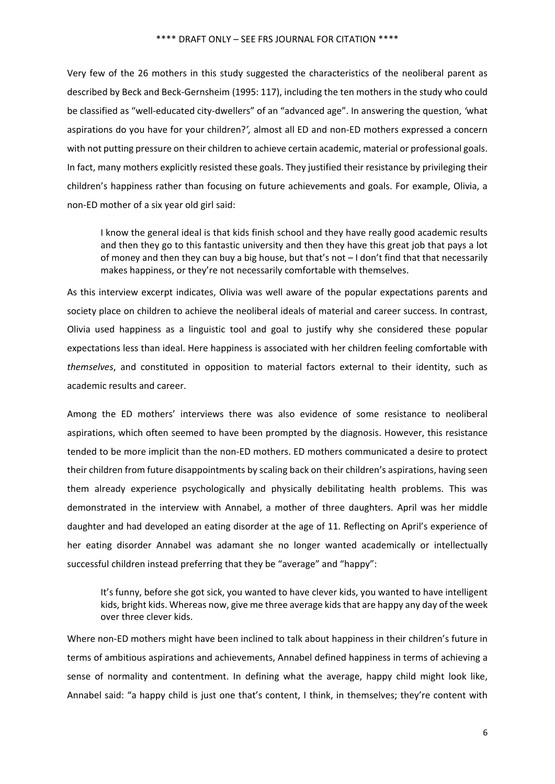Very few of the 26 mothers in this study suggested the characteristics of the neoliberal parent as described by Beck and Beck‐Gernsheim (1995: 117), including the ten mothers in the study who could be classified as "well‐educated city‐dwellers" of an "advanced age". In answering the question, *'*what aspirations do you have for your children?*',* almost all ED and non‐ED mothers expressed a concern with not putting pressure on their children to achieve certain academic, material or professional goals. In fact, many mothers explicitly resisted these goals. They justified their resistance by privileging their children's happiness rather than focusing on future achievements and goals. For example, Olivia, a non‐ED mother of a six year old girl said:

I know the general ideal is that kids finish school and they have really good academic results and then they go to this fantastic university and then they have this great job that pays a lot of money and then they can buy a big house, but that's not  $-1$  don't find that that necessarily makes happiness, or they're not necessarily comfortable with themselves.

As this interview excerpt indicates, Olivia was well aware of the popular expectations parents and society place on children to achieve the neoliberal ideals of material and career success. In contrast, Olivia used happiness as a linguistic tool and goal to justify why she considered these popular expectations less than ideal. Here happiness is associated with her children feeling comfortable with *themselves*, and constituted in opposition to material factors external to their identity, such as academic results and career.

Among the ED mothers' interviews there was also evidence of some resistance to neoliberal aspirations, which often seemed to have been prompted by the diagnosis. However, this resistance tended to be more implicit than the non‐ED mothers. ED mothers communicated a desire to protect their children from future disappointments by scaling back on their children's aspirations, having seen them already experience psychologically and physically debilitating health problems. This was demonstrated in the interview with Annabel, a mother of three daughters. April was her middle daughter and had developed an eating disorder at the age of 11. Reflecting on April's experience of her eating disorder Annabel was adamant she no longer wanted academically or intellectually successful children instead preferring that they be "average" and "happy":

It's funny, before she got sick, you wanted to have clever kids, you wanted to have intelligent kids, bright kids. Whereas now, give me three average kids that are happy any day of the week over three clever kids.

Where non‐ED mothers might have been inclined to talk about happiness in their children's future in terms of ambitious aspirations and achievements, Annabel defined happiness in terms of achieving a sense of normality and contentment. In defining what the average, happy child might look like, Annabel said: "a happy child is just one that's content, I think, in themselves; they're content with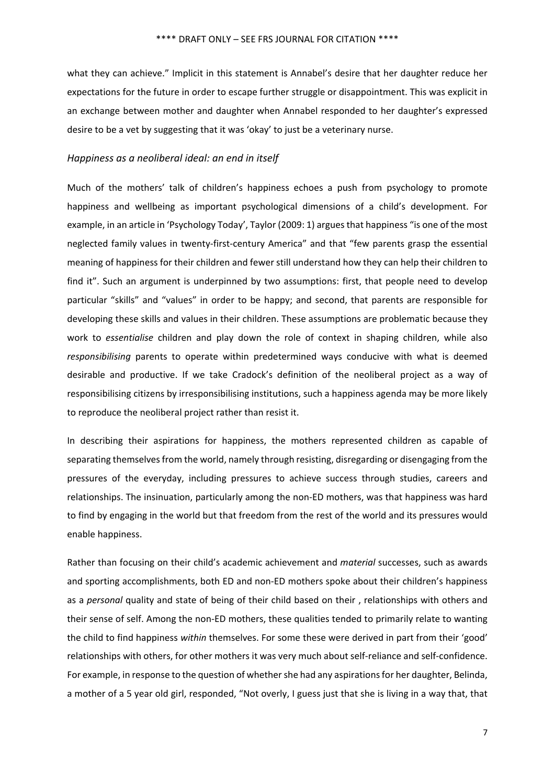what they can achieve." Implicit in this statement is Annabel's desire that her daughter reduce her expectations for the future in order to escape further struggle or disappointment. This was explicit in an exchange between mother and daughter when Annabel responded to her daughter's expressed desire to be a vet by suggesting that it was 'okay' to just be a veterinary nurse.

#### *Happiness as a neoliberal ideal: an end in itself*

Much of the mothers' talk of children's happiness echoes a push from psychology to promote happiness and wellbeing as important psychological dimensions of a child's development. For example, in an article in 'Psychology Today', Taylor (2009: 1) arguesthat happiness "is one of the most neglected family values in twenty-first-century America" and that "few parents grasp the essential meaning of happiness for their children and fewer still understand how they can help their children to find it". Such an argument is underpinned by two assumptions: first, that people need to develop particular "skills" and "values" in order to be happy; and second, that parents are responsible for developing these skills and values in their children. These assumptions are problematic because they work to *essentialise* children and play down the role of context in shaping children, while also *responsibilising* parents to operate within predetermined ways conducive with what is deemed desirable and productive. If we take Cradock's definition of the neoliberal project as a way of responsibilising citizens by irresponsibilising institutions, such a happiness agenda may be more likely to reproduce the neoliberal project rather than resist it.

In describing their aspirations for happiness, the mothers represented children as capable of separating themselves from the world, namely through resisting, disregarding or disengaging from the pressures of the everyday, including pressures to achieve success through studies, careers and relationships. The insinuation, particularly among the non‐ED mothers, was that happiness was hard to find by engaging in the world but that freedom from the rest of the world and its pressures would enable happiness.

Rather than focusing on their child's academic achievement and *material* successes, such as awards and sporting accomplishments, both ED and non‐ED mothers spoke about their children's happiness as a *personal* quality and state of being of their child based on their , relationships with others and their sense of self. Among the non-ED mothers, these qualities tended to primarily relate to wanting the child to find happiness *within* themselves. For some these were derived in part from their 'good' relationships with others, for other mothers it was very much about self‐reliance and self‐confidence. For example, in response to the question of whether she had any aspirations for her daughter, Belinda, a mother of a 5 year old girl, responded, "Not overly, I guess just that she is living in a way that, that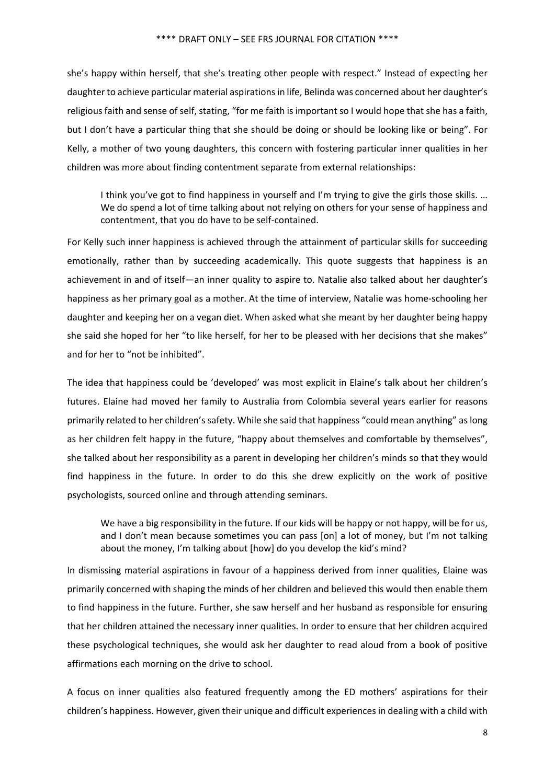she's happy within herself, that she's treating other people with respect." Instead of expecting her daughter to achieve particular material aspirations in life, Belinda was concerned about her daughter's religious faith and sense of self, stating, "for me faith is important so I would hope that she has a faith, but I don't have a particular thing that she should be doing or should be looking like or being". For Kelly, a mother of two young daughters, this concern with fostering particular inner qualities in her children was more about finding contentment separate from external relationships:

I think you've got to find happiness in yourself and I'm trying to give the girls those skills. … We do spend a lot of time talking about not relying on others for your sense of happiness and contentment, that you do have to be self‐contained.

For Kelly such inner happiness is achieved through the attainment of particular skills for succeeding emotionally, rather than by succeeding academically. This quote suggests that happiness is an achievement in and of itself—an inner quality to aspire to. Natalie also talked about her daughter's happiness as her primary goal as a mother. At the time of interview, Natalie was home-schooling her daughter and keeping her on a vegan diet. When asked what she meant by her daughter being happy she said she hoped for her "to like herself, for her to be pleased with her decisions that she makes" and for her to "not be inhibited".

The idea that happiness could be 'developed' was most explicit in Elaine's talk about her children's futures. Elaine had moved her family to Australia from Colombia several years earlier for reasons primarily related to her children'ssafety. While she said that happiness "could mean anything" aslong as her children felt happy in the future, "happy about themselves and comfortable by themselves", she talked about her responsibility as a parent in developing her children's minds so that they would find happiness in the future. In order to do this she drew explicitly on the work of positive psychologists, sourced online and through attending seminars.

We have a big responsibility in the future. If our kids will be happy or not happy, will be for us, and I don't mean because sometimes you can pass [on] a lot of money, but I'm not talking about the money, I'm talking about [how] do you develop the kid's mind?

In dismissing material aspirations in favour of a happiness derived from inner qualities, Elaine was primarily concerned with shaping the minds of her children and believed this would then enable them to find happiness in the future. Further, she saw herself and her husband as responsible for ensuring that her children attained the necessary inner qualities. In order to ensure that her children acquired these psychological techniques, she would ask her daughter to read aloud from a book of positive affirmations each morning on the drive to school.

A focus on inner qualities also featured frequently among the ED mothers' aspirations for their children's happiness. However, given their unique and difficult experiencesin dealing with a child with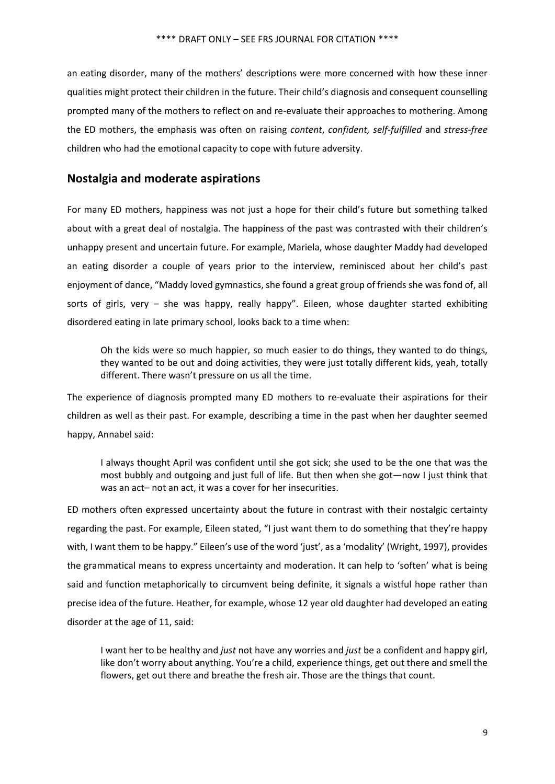an eating disorder, many of the mothers' descriptions were more concerned with how these inner qualities might protect their children in the future. Their child's diagnosis and consequent counselling prompted many of the mothers to reflect on and re‐evaluate their approaches to mothering. Among the ED mothers, the emphasis was often on raising *content*, *confident, self‐fulfilled* and *stress‐free* children who had the emotional capacity to cope with future adversity.

## **Nostalgia and moderate aspirations**

For many ED mothers, happiness was not just a hope for their child's future but something talked about with a great deal of nostalgia. The happiness of the past was contrasted with their children's unhappy present and uncertain future. For example, Mariela, whose daughter Maddy had developed an eating disorder a couple of years prior to the interview, reminisced about her child's past enjoyment of dance, "Maddy loved gymnastics, she found a great group of friends she was fond of, all sorts of girls, very  $-$  she was happy, really happy". Eileen, whose daughter started exhibiting disordered eating in late primary school, looks back to a time when:

Oh the kids were so much happier, so much easier to do things, they wanted to do things, they wanted to be out and doing activities, they were just totally different kids, yeah, totally different. There wasn't pressure on us all the time.

The experience of diagnosis prompted many ED mothers to re-evaluate their aspirations for their children as well as their past. For example, describing a time in the past when her daughter seemed happy, Annabel said:

I always thought April was confident until she got sick; she used to be the one that was the most bubbly and outgoing and just full of life. But then when she got—now I just think that was an act– not an act, it was a cover for her insecurities.

ED mothers often expressed uncertainty about the future in contrast with their nostalgic certainty regarding the past. For example, Eileen stated, "I just want them to do something that they're happy with, I want them to be happy." Eileen's use of the word 'just', as a 'modality' (Wright, 1997), provides the grammatical means to express uncertainty and moderation. It can help to 'soften' what is being said and function metaphorically to circumvent being definite, it signals a wistful hope rather than precise idea of the future. Heather, for example, whose 12 year old daughter had developed an eating disorder at the age of 11, said:

I want her to be healthy and *just* not have any worries and *just* be a confident and happy girl, like don't worry about anything. You're a child, experience things, get out there and smell the flowers, get out there and breathe the fresh air. Those are the things that count.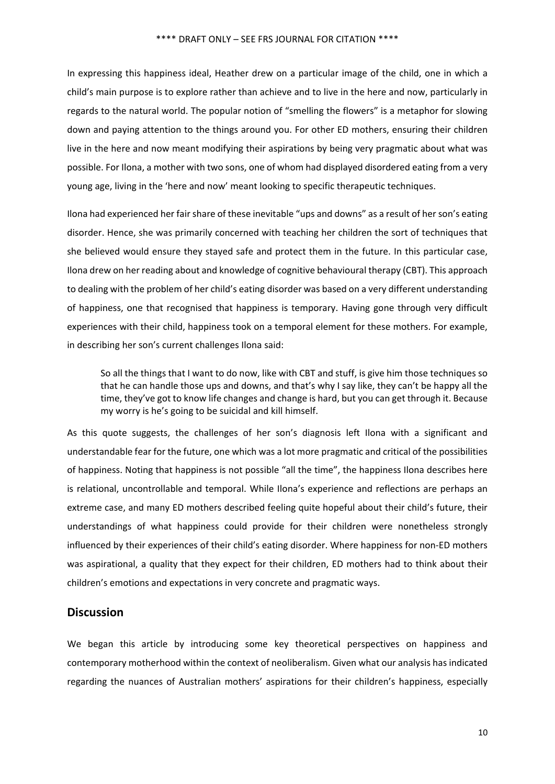In expressing this happiness ideal, Heather drew on a particular image of the child, one in which a child's main purpose is to explore rather than achieve and to live in the here and now, particularly in regards to the natural world. The popular notion of "smelling the flowers" is a metaphor for slowing down and paying attention to the things around you. For other ED mothers, ensuring their children live in the here and now meant modifying their aspirations by being very pragmatic about what was possible. For Ilona, a mother with two sons, one of whom had displayed disordered eating from a very young age, living in the 'here and now' meant looking to specific therapeutic techniques.

Ilona had experienced her fair share of these inevitable "ups and downs" as a result of her son's eating disorder. Hence, she was primarily concerned with teaching her children the sort of techniques that she believed would ensure they stayed safe and protect them in the future. In this particular case, Ilona drew on her reading about and knowledge of cognitive behavioural therapy (CBT). This approach to dealing with the problem of her child's eating disorder was based on a very different understanding of happiness, one that recognised that happiness is temporary. Having gone through very difficult experiences with their child, happiness took on a temporal element for these mothers. For example, in describing her son's current challenges Ilona said:

So all the things that I want to do now, like with CBT and stuff, is give him those techniques so that he can handle those ups and downs, and that's why I say like, they can't be happy all the time, they've got to know life changes and change is hard, but you can get through it. Because my worry is he's going to be suicidal and kill himself.

As this quote suggests, the challenges of her son's diagnosis left Ilona with a significant and understandable fear for the future, one which was a lot more pragmatic and critical of the possibilities of happiness. Noting that happiness is not possible "all the time", the happiness Ilona describes here is relational, uncontrollable and temporal. While Ilona's experience and reflections are perhaps an extreme case, and many ED mothers described feeling quite hopeful about their child's future, their understandings of what happiness could provide for their children were nonetheless strongly influenced by their experiences of their child's eating disorder. Where happiness for non‐ED mothers was aspirational, a quality that they expect for their children, ED mothers had to think about their children's emotions and expectations in very concrete and pragmatic ways.

## **Discussion**

We began this article by introducing some key theoretical perspectives on happiness and contemporary motherhood within the context of neoliberalism. Given what our analysis has indicated regarding the nuances of Australian mothers' aspirations for their children's happiness, especially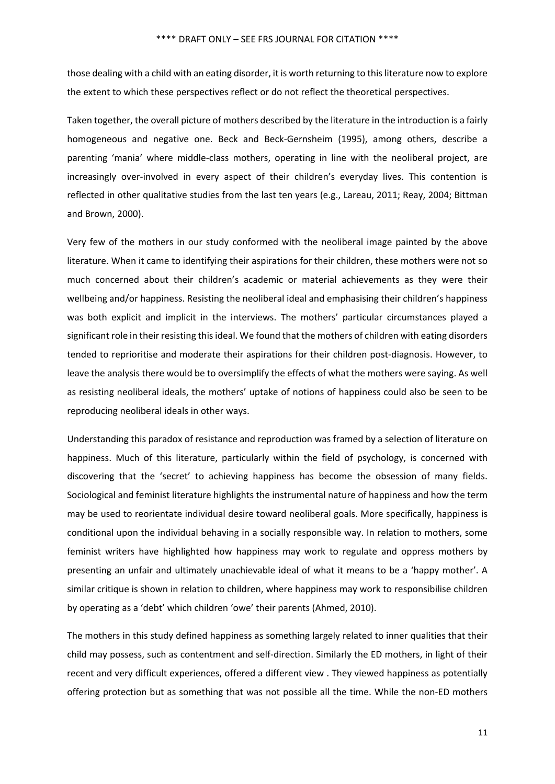those dealing with a child with an eating disorder, it is worth returning to thisliterature now to explore the extent to which these perspectives reflect or do not reflect the theoretical perspectives.

Taken together, the overall picture of mothers described by the literature in the introduction is a fairly homogeneous and negative one. Beck and Beck‐Gernsheim (1995), among others, describe a parenting 'mania' where middle‐class mothers, operating in line with the neoliberal project, are increasingly over-involved in every aspect of their children's everyday lives. This contention is reflected in other qualitative studies from the last ten years (e.g., Lareau, 2011; Reay, 2004; Bittman and Brown, 2000).

Very few of the mothers in our study conformed with the neoliberal image painted by the above literature. When it came to identifying their aspirations for their children, these mothers were not so much concerned about their children's academic or material achievements as they were their wellbeing and/or happiness. Resisting the neoliberal ideal and emphasising their children's happiness was both explicit and implicit in the interviews. The mothers' particular circumstances played a significant role in their resisting this ideal. We found that the mothers of children with eating disorders tended to reprioritise and moderate their aspirations for their children post-diagnosis. However, to leave the analysis there would be to oversimplify the effects of what the mothers were saying. As well as resisting neoliberal ideals, the mothers' uptake of notions of happiness could also be seen to be reproducing neoliberal ideals in other ways.

Understanding this paradox of resistance and reproduction was framed by a selection of literature on happiness. Much of this literature, particularly within the field of psychology, is concerned with discovering that the 'secret' to achieving happiness has become the obsession of many fields. Sociological and feminist literature highlights the instrumental nature of happiness and how the term may be used to reorientate individual desire toward neoliberal goals. More specifically, happiness is conditional upon the individual behaving in a socially responsible way. In relation to mothers, some feminist writers have highlighted how happiness may work to regulate and oppress mothers by presenting an unfair and ultimately unachievable ideal of what it means to be a 'happy mother'. A similar critique is shown in relation to children, where happiness may work to responsibilise children by operating as a 'debt' which children 'owe' their parents (Ahmed, 2010).

The mothers in this study defined happiness as something largely related to inner qualities that their child may possess, such as contentment and self‐direction. Similarly the ED mothers, in light of their recent and very difficult experiences, offered a different view . They viewed happiness as potentially offering protection but as something that was not possible all the time. While the non‐ED mothers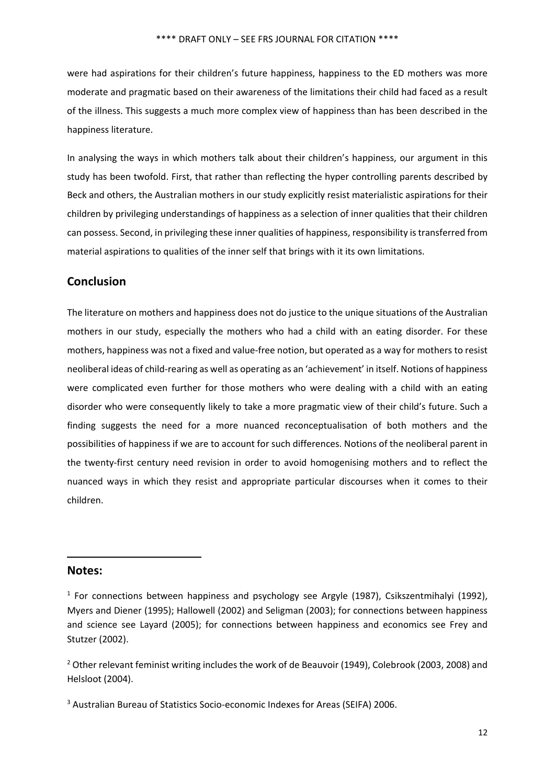were had aspirations for their children's future happiness, happiness to the ED mothers was more moderate and pragmatic based on their awareness of the limitations their child had faced as a result of the illness. This suggests a much more complex view of happiness than has been described in the happiness literature.

In analysing the ways in which mothers talk about their children's happiness, our argument in this study has been twofold. First, that rather than reflecting the hyper controlling parents described by Beck and others, the Australian mothers in our study explicitly resist materialistic aspirations for their children by privileging understandings of happiness as a selection of inner qualities that their children can possess. Second, in privileging these inner qualities of happiness, responsibility istransferred from material aspirations to qualities of the inner self that brings with it its own limitations.

## **Conclusion**

The literature on mothers and happiness does not do justice to the unique situations of the Australian mothers in our study, especially the mothers who had a child with an eating disorder. For these mothers, happiness was not a fixed and value‐free notion, but operated as a way for mothers to resist neoliberal ideas of child‐rearing as well as operating as an 'achievement' in itself. Notions of happiness were complicated even further for those mothers who were dealing with a child with an eating disorder who were consequently likely to take a more pragmatic view of their child's future. Such a finding suggests the need for a more nuanced reconceptualisation of both mothers and the possibilities of happiness if we are to account for such differences. Notions of the neoliberal parent in the twenty‐first century need revision in order to avoid homogenising mothers and to reflect the nuanced ways in which they resist and appropriate particular discourses when it comes to their children.

### **Notes:**

<sup>2</sup> Other relevant feminist writing includes the work of de Beauvoir (1949), Colebrook (2003, 2008) and Helsloot (2004).

 $1$  For connections between happiness and psychology see Argyle (1987), Csikszentmihalyi (1992), Myers and Diener (1995); Hallowell (2002) and Seligman (2003); for connections between happiness and science see Layard (2005); for connections between happiness and economics see Frey and Stutzer (2002).

<sup>3</sup> Australian Bureau of Statistics Socio‐economic Indexes for Areas (SEIFA) 2006.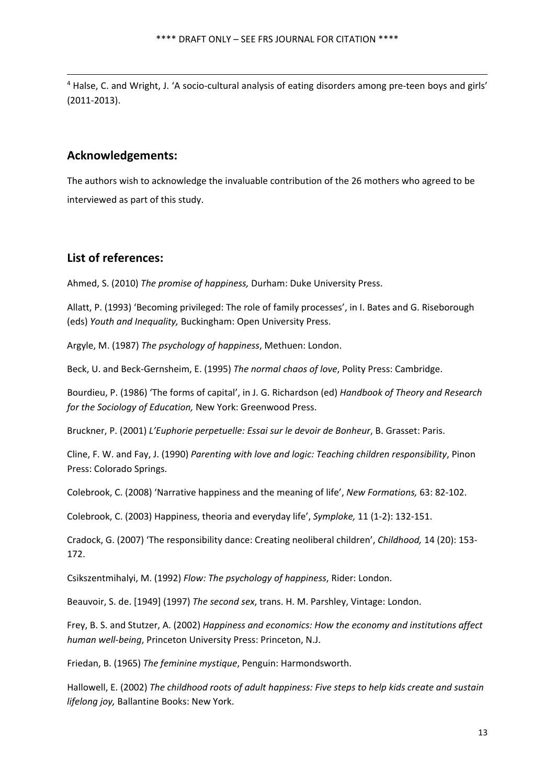<sup>4</sup> Halse, C. and Wright, J. 'A socio-cultural analysis of eating disorders among pre-teen boys and girls' (2011‐2013).

<u> Andreas Andreas Andreas Andreas Andreas Andreas Andreas Andreas Andreas Andreas Andreas Andreas Andreas Andr</u>

## **Acknowledgements:**

The authors wish to acknowledge the invaluable contribution of the 26 mothers who agreed to be interviewed as part of this study.

## **List of references:**

Ahmed, S. (2010) *The promise of happiness,* Durham: Duke University Press.

Allatt, P. (1993) 'Becoming privileged: The role of family processes', in I. Bates and G. Riseborough (eds) *Youth and Inequality,* Buckingham: Open University Press.

Argyle, M. (1987) *The psychology of happiness*, Methuen: London.

Beck, U. and Beck‐Gernsheim, E. (1995) *The normal chaos of love*, Polity Press: Cambridge.

Bourdieu, P. (1986) 'The forms of capital', in J. G. Richardson (ed) *Handbook of Theory and Research for the Sociology of Education,* New York: Greenwood Press.

Bruckner, P. (2001) *L'Euphorie perpetuelle: Essai sur le devoir de Bonheur*, B. Grasset: Paris.

Cline, F. W. and Fay, J. (1990) *Parenting with love and logic: Teaching children responsibility*, Pinon Press: Colorado Springs.

Colebrook, C. (2008) 'Narrative happiness and the meaning of life', *New Formations,* 63: 82‐102.

Colebrook, C. (2003) Happiness, theoria and everyday life', *Symploke,* 11 (1‐2): 132‐151.

Cradock, G. (2007) 'The responsibility dance: Creating neoliberal children', *Childhood,* 14 (20): 153‐ 172.

Csikszentmihalyi, M. (1992) *Flow: The psychology of happiness*, Rider: London.

Beauvoir, S. de. [1949] (1997) *The second sex*, trans. H. M. Parshley, Vintage: London.

Frey, B. S. and Stutzer, A. (2002) *Happiness and economics: How the economy and institutions affect human well‐being*, Princeton University Press: Princeton, N.J.

Friedan, B. (1965) *The feminine mystique*, Penguin: Harmondsworth.

Hallowell, E. (2002) *The childhood roots of adult happiness: Five steps to help kids create and sustain lifelong joy,* Ballantine Books: New York.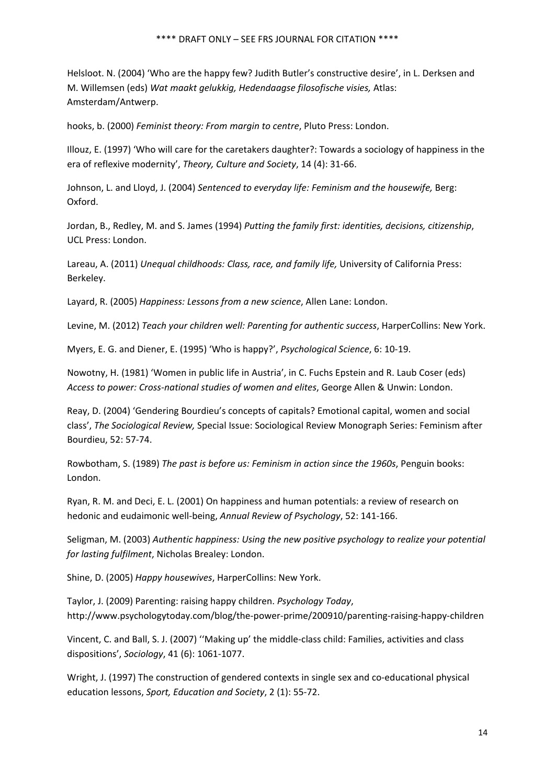Helsloot. N. (2004) 'Who are the happy few? Judith Butler's constructive desire', in L. Derksen and M. Willemsen (eds) *Wat maakt gelukkig, Hedendaagse filosofische visies,* Atlas: Amsterdam/Antwerp.

hooks, b. (2000) *Feminist theory: From margin to centre*, Pluto Press: London.

Illouz, E. (1997) 'Who will care for the caretakers daughter?: Towards a sociology of happiness in the era of reflexive modernity', *Theory, Culture and Society*, 14 (4): 31‐66.

Johnson, L. and Lloyd, J. (2004) *Sentenced to everyday life: Feminism and the housewife,* Berg: Oxford.

Jordan, B., Redley, M. and S. James (1994) *Putting the family first: identities, decisions, citizenship*, UCL Press: London.

Lareau, A. (2011) *Unequal childhoods: Class, race, and family life,* University of California Press: Berkeley.

Layard, R. (2005) *Happiness: Lessons from a new science*, Allen Lane: London.

Levine, M. (2012) *Teach your children well: Parenting for authentic success*, HarperCollins: New York.

Myers, E. G. and Diener, E. (1995) 'Who is happy?', *Psychological Science*, 6: 10‐19.

Nowotny, H. (1981) 'Women in public life in Austria', in C. Fuchs Epstein and R. Laub Coser (eds) *Access to power: Cross‐national studies of women and elites*, George Allen & Unwin: London.

Reay, D. (2004) 'Gendering Bourdieu's concepts of capitals? Emotional capital, women and social class', *The Sociological Review,* Special Issue: Sociological Review Monograph Series: Feminism after Bourdieu, 52: 57‐74.

Rowbotham, S. (1989) *The past is before us: Feminism in action since the 1960s*, Penguin books: London.

Ryan, R. M. and Deci, E. L. (2001) On happiness and human potentials: a review of research on hedonic and eudaimonic well‐being, *Annual Review of Psychology*, 52: 141‐166.

Seligman, M. (2003) *Authentic happiness: Using the new positive psychology to realize your potential for lasting fulfilment*, Nicholas Brealey: London.

Shine, D. (2005) *Happy housewives*, HarperCollins: New York.

Taylor, J. (2009) Parenting: raising happy children. *Psychology Today*, http://www.psychologytoday.com/blog/the‐power‐prime/200910/parenting‐raising‐happy‐children

Vincent, C. and Ball, S. J. (2007) ''Making up' the middle‐class child: Families, activities and class dispositions', *Sociology*, 41 (6): 1061‐1077.

Wright, J. (1997) The construction of gendered contexts in single sex and co-educational physical education lessons, *Sport, Education and Society*, 2 (1): 55‐72.